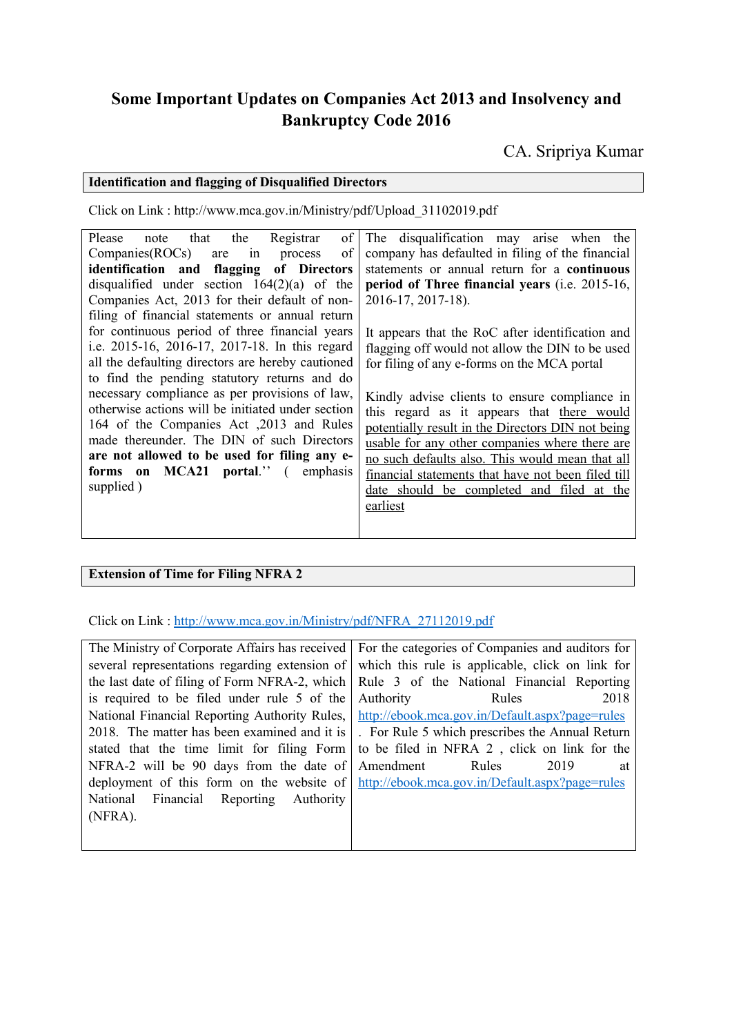## **Some Important Updates on Companies Act 2013 and Insolvency and Bankruptcy Code 2016**

CA. Sripriya Kumar

## **Identification and flagging of Disqualified Directors**

Click on Link : http://www.mca.gov.in/Ministry/pdf/Upload\_31102019.pdf

Please note that the Registrar of The disqualification may arise when the Companies(ROCs) are in process of **identification and flagging of Directors** disqualified under section  $164(2)(a)$  of the Companies Act, 2013 for their default of nonfiling of financial statements or annual return for continuous period of three financial years i.e. 2015-16, 2016-17, 2017-18. In this regard all the defaulting directors are hereby cautioned to find the pending statutory returns and do necessary compliance as per provisions of law, otherwise actions will be initiated under section 164 of the Companies Act ,2013 and Rules made thereunder. The DIN of such Directors **are not allowed to be used for filing any eforms on MCA21 portal**.'' ( emphasis supplied ) company has defaulted in filing of the financial statements or annual return for a **continuous period of Three financial years** (i.e. 2015-16, 2016-17, 2017-18). It appears that the RoC after identification and flagging off would not allow the DIN to be used for filing of any e-forms on the MCA portal Kindly advise clients to ensure compliance in this regard as it appears that there would potentially result in the Directors DIN not being usable for any other companies where there are no such defaults also. This would mean that all financial statements that have not been filed till date should be completed and filed at the earliest

## **Extension of Time for Filing NFRA 2**

Click on Link : [http://www.mca.gov.in/Ministry/pdf/NFRA\\_27112019.pdf](http://www.mca.gov.in/Ministry/pdf/NFRA_27112019.pdf)

|                                                       | The Ministry of Corporate Affairs has received For the categories of Companies and auditors for     |
|-------------------------------------------------------|-----------------------------------------------------------------------------------------------------|
|                                                       | several representations regarding extension of which this rule is applicable, click on link for     |
|                                                       | the last date of filing of Form NFRA-2, which Rule 3 of the National Financial Reporting            |
| is required to be filed under rule 5 of the Authority | 2018<br><b>Rules</b>                                                                                |
|                                                       | National Financial Reporting Authority Rules, http://ebook.mca.gov.in/Default.aspx?page=rules       |
|                                                       | 2018. The matter has been examined and it is . For Rule 5 which prescribes the Annual Return        |
|                                                       | stated that the time limit for filing Form   to be filed in NFRA 2, click on link for the           |
| NFRA-2 will be 90 days from the date of Amendment     | Rules<br>2019<br>at                                                                                 |
|                                                       | deployment of this form on the website of $\frac{http://ebook.mca.gov.in/Default.aspx?page=rules}{$ |
| National Financial Reporting Authority                |                                                                                                     |
| $(NFRA)$ .                                            |                                                                                                     |
|                                                       |                                                                                                     |